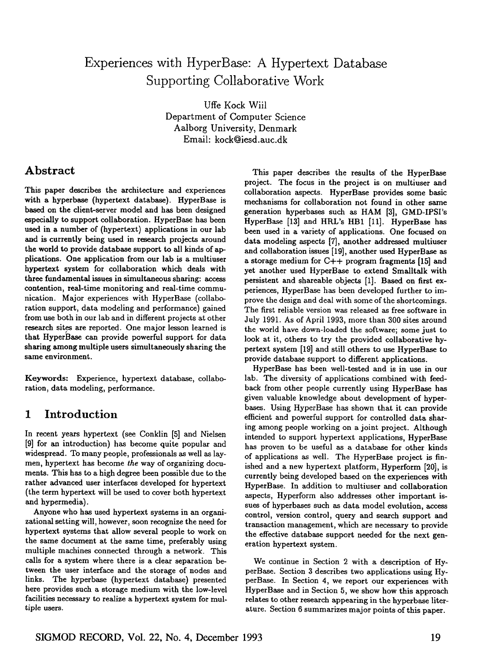# Experiences with HyperBase: A Hypertext Database Supporting Collaborative Work

Uffe Kock Wiil Department of Computer Science Aalborg University, Denmark Email: kock@iesd.auc.dk

### **Abstract**

This paper describes the architecture and experiences with a hyperbase (hypertext database). HyperBase is based on the client-server model and has been designed especially to support collaboration. HyperBase has been used in a number of (hypertext) applications in our lab and is currently being used in research projects around the world to provide database support to all kinds of applications. One application from our lab is a multiuser hypertext system for collaboration which deals with three fundamental issues in simultaneous sharing: access contention, real-time monitoring and real-time communication. Major experiences with HyperBase (collaboration support, data modeling and performance) gained from use both in our lab and in different projects at other research sites are reported. One major lesson learned is that HyperBase can provide powerful support for data sharing among multiple users simultaneously sharing the same environment.

Keywords: Experience, hypertext database, collaboration, data modeling, performance.

### 1 Introduction

In recent years hypertext (see Conklin [5] and Nielsen [9] for an introduction) has become quite popular and widespread. To many people, professionals as well as laymen, hypertext has become *the* way of organizing documents. This has to a high degree been possible due to the rather advanced user interfaces developed for hypertext (the term hypertext will be used to cover both hypertext and hypermedia).

Anyone who has used hypertext systems in an organizational setting will, however, soon recognize the need for hypertext systems that allow several people to work on the same document at the same time, preferably using multiple machines connected through a network. This calls for a system where there is a clear separation between the user interface and the storage of nodes and links. The hyperbase (hypertext database) presented here provides such a storage medium with the low-level facilities necessary to realize a hypertext system for multiple users.

This paper describes the results of the HyperBase project. The focus in the project is on multiuser and collaboration aspects. HyperBase provides some basic mechanisms for collaboration not found in other same generation hyperbases such as HAM [3], GMD-IPSI's HyperBase [13] and HKL's HB1 [11]. HyperBase has been used in a variety of applications. One focused on data modeling aspects [7], another addressed multinser and collaboration issues [19], another used HyperBase as a storage medium for C++ program fragments [15] and yet another used HyperBase to extend Smalltalk with persistent and shareable objects [1]. Based on first experiences, HyperBase has been developed further to improve the design and deal with some of the shortcomings. The first reliable version was released as free software in July 1991. As of April 1993, more than 300 sites around the world have down-loaded the software; some just to look at it, others to try the provided collaborative hypertext system [19] and still others to use HyperBase to provide database support to different applications.

HyperBase has been well-tested and is in use in our lab. The diversity of applications combined with feedback from other people currently using HyperBase has given valuable knowledge about development of hyperbases. Using HyperBase has shown that it can provide efficient and powerful support for controlled data sharing among people working on a joint project. Although intended to support hypertext applications, HyperBase has proven to be useful as a database for other kinds of applications as well. The HyperBase project is finished and a new hypertext platform, Hyperform [20], is currently being developed based on the experiences with HyperBase. In addition to multiuser and collaboration aspects, Hyperform also addresses other important issues of hyperbases such as data model evolution, access control, version control, query and search support and transaction management, which are necessary to provide the effective database support needed for the next generation hypertext system.

We continue in Section 2 with a description of HyperBase. Section 3 describes two applications using HyperBase. In Section 4, we report our experiences with HyperBase and in Section 5, we show how this approach relates to other research appearing in the hyperbase literature. Section 6 summarizes major points of this paper.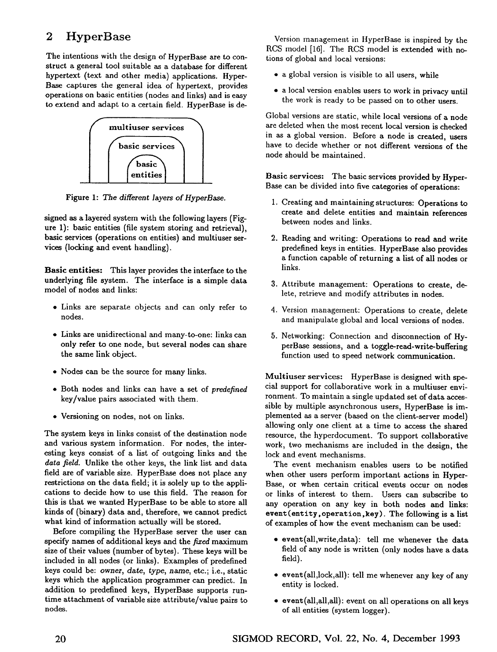# 2 HyperBase

The intentions with the design of HyperBase are to construct a general tool suitable as a database for different hypertext (text and other media) applications. Hyper-Base captures the general idea of hypertext, provides operations on basic entities (nodes and links) and is easy to extend and adapt to a certain field. HyperBase is de-



Figure 1: *The different layers of HyperBase.* 

signed as a layered system with the following layers (Figure 1): basic entities (file system storing and retrieval), basic services (operations on entities) and multiuser services (locking and event handling).

Basic entities: This layer provides the interface to the underlying file system. The interface is a simple data model of nodes and links:

- Links are separate objects and can only refer to nodes.
- Links are unidirectional and many-to-one: links can only refer to one node, but several nodes can share the same link object.
- Nodes can be the source for many links.
- Both nodes and links can have a set of *predefined*  key/value pairs associated with them.
- Versioning on nodes, not on links.

The system keys in links consist of the destination node and various system information. For nodes, the interesting keys consist of a list of outgoing links and the *data field.* Unlike the other keys, the link list and data field are of variable size. HyperBase does not place any restrictions on the data field; it is solely up to the applications to decide how to use this field. The reason for this is that we wanted HyperBase to be able to store all kinds of (binary) data and, therefore, we cannot predict what kind of information actually will be stored.

Before compiling the HyperBase server the user can specify names of additional keys and the *fixed* maximum size of their values (number of bytes). These keys will be included in all nodes (or links). Examples of predefined keys could be: owner, *date, type,* name, etc.; i.e., static keys which the application programmer can predict. In addition to predefined keys, HyperBase supports runtime attachment of variable size attribute/value pairs to nodes.

Version management in HyperBase is inspired by the RCS model [16]. The RCS model is extended with notions of global and local versions:

- a global version is visible to all users, while
- a local version enables users to work in privacy until the work is ready to be passed on to other users.

Global versions are static, while local versions of a node are deleted when the most recent local version is checked in as a global version. Before a node is created, users have to decide whether or not different versions of the node should be maintained.

Basic services: The basic services provided by Hyper-Base can be divided into five categories of operations:

- 1. Creating and maintaining structures: Operations to create and delete entities and maintain references between nodes and links.
- . Reading and writing: Operations to read and write predefined keys in entities. HyperBase also provides a function capable of returning a list of all nodes or links.
- 3. Attribute management: Operations to create, delete, retrieve and modify attributes in nodes.
- 4. Version management: Operations to create, delete and manipulate global and local versions of nodes.
- 5. Networking: Connection and disconnection of HyperBase sessions, and a toggle-read-write-buffering function used to speed network communication.

Multiuser services: HyperBase is designed with special support for collaborative work in a multiuser environment. To maintain a single updated set of data accessible by multiple asynchronous users, HyperBase is implemented as a server (based on the client-server model) allowing only one client at a time to access the shared resource, the hyperdocument. To support collaborative work, two mechanisms are included in the design, the lock and event mechanisms.

The event mechanism enables users to be notified when other users perform important actions in Hyper-Base, or when certain critical events occur on nodes or links of interest to them. Users can subscribe to any operation on any key in both nodes and links: **event** (entity, operation,key). The following is a list of examples of how the event mechanism can be used:

- event(all,write,data): tell me whenever the data field of any node is written (only nodes have a data field).
- event(all,lock,all): tell me whenever any key of any entity is locked.
- event(all,all,all): event on all operations on all keys of all entities (system logger).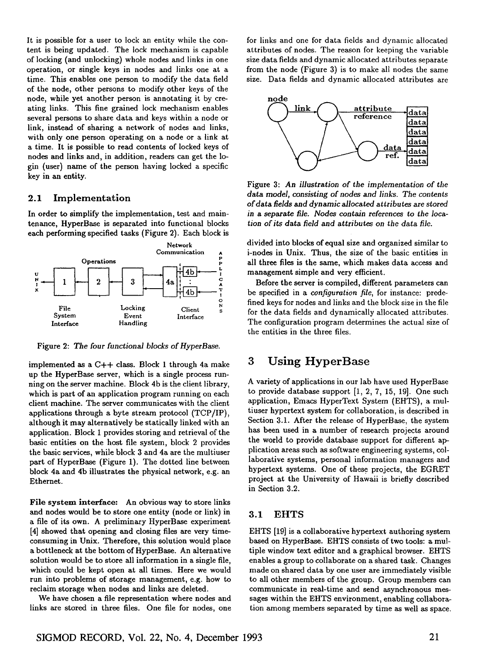It is possible for a user to lock an entity while the content is being updated. The lock mechanism is capable of locking (and unlocking) whole nodes and links in one operation, or single keys in nodes and links one at a time. This enables one person to modify the data field of the node, other persons to modify other keys of the node, while yet another person is annotating it by creating links. This fine grained lock mechanism enables several persons to share data and keys within a node or link, instead of sharing a network of nodes and links, with only one person operating on a node or a link at a time. It is possible to read contents of locked keys of nodes and links and, in addition, readers can get the login (user) name of the person having locked a specific key in an entity.

#### **2.1** Implementation

In order to simplify the implementation, test and maintenance, HyperBase is separated into functional blocks each performing specified tasks (Figure 2). Each block is



Figure 2: *The four functional blocks of HyperBase.* 

implemented as a C++ class. Block 1 through 4a make up the HyperBase server, which is a single process running on the server machine. Block 4b is the client library, which is part of an application program running on each client machine. The server communicates with the client applications through a byte stream protocol (TCP/IP), although it may alternatively be statically linked with an application. Block 1 provides storing and retrieval of the basic entities on the host file system, block 2 provides the basic services, while block 3 and 4a are the multiuser part of HyperBase (Figure 1). The dotted line between block 4a and 4b illustrates the physical network, e.g. an Ethernet.

File system interface: An obvious way to store links and nodes would be to store one entity (node or link) in a file of its own. A preliminary HyperBase experiment [4] showed that opening and closing files are very timeconsuming in Unix. Therefore, this solution would place a bottleneck at the bottom of HyperBase. An alternative solution would be to store all information in a single file, which could be kept open at all times. Here we would run into problems of storage management, e.g. how to reclaim storage when nodes and links are deleted.

We have chosen a file representation where nodes and links are stored in three files. One file for nodes, one for links and one for data fields and dynamic allocated attributes of nodes. The reason for keeping the variable size data fields and dynamic allocated attributes separate from the node (Figure 3) is to make all nodes the same size. Data fields and dynamic allocated attributes are



Figure 3: *An illustration of the implementation of the*  data model, consisting of nodes and links. The contents *of data tlelds and dynamic allocated attributes* are *stored in* a separate *[lie. Nodes contain references to the loca*tion of its data field and attributes on the data file.

divided into blocks of equal size and organized similar to i-nodes in Unix. Thus, the size of the basic entities in all three files is the same, which makes data access and management simple and very efficient.

Before the server is compiled, different parameters can be specified in a *configuration file,* for instance: predefined keys for nodes and links and the block size in the file for the data fields and dynamically allocated attributes. The configuration program determines the actual size of the entities in the three files.

### **3 Using HyperBase**

A variety of applications in our lab have used HyperBase to provide database support [1, 2, 7, 15, 19]. One such application, Emacs HyperText System (EHTS), a multiuser hypertext system for collaboration, is described in Section 3.1. After the release of HyperBase, the system has been used in a number of research projects around the world to provide database support for different application areas such as software engineering systems, collaborative systems, personal information managers and hypertext systems. One of these projects, the EGRET project at the University of Hawaii is briefly described in Section 3.2.

#### **3.1 EHTS**

EHTS [19] is a collaborative hypertext authoring system based on HyperBase. EHTS consists of two tools: a multiple window text editor and a graphical browser. EHTS enables a group to collaborate on a shared task. Changes made on shared data by one user are immediately visible to all other members of the group. Group members can communicate in real-time and send asynchronous messages within the EHTS environment, enabling collaboration among members separated by time as well as space.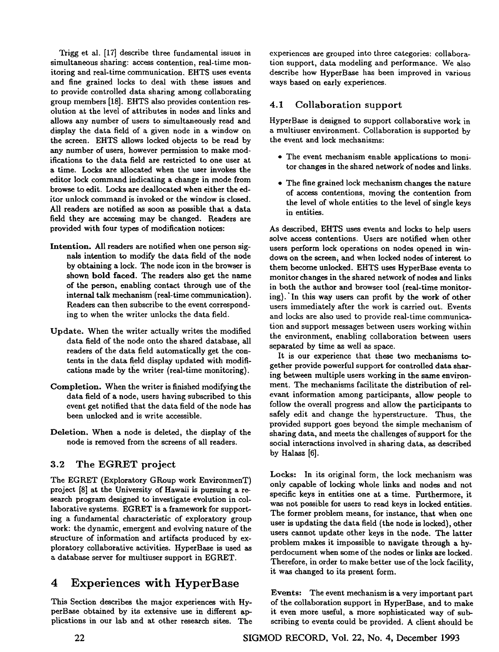Trigg et al. [17] describe three fundamental issues in simultaneous sharing: access contention, real-time monitoring and real-time communication. EHTS uses events and fine grained locks to deal with these issues and to provide controlled data sharing among collaborating group members [18]. EHTS also provides contention resolution at the level of attributes in nodes and links and allows any number of users to simultaneously read and display the data field of a given node in a window on the screen. EHTS allows locked objects to be read by any number of users, however permission to make modifications to the data field are restricted to one user at a time. Locks are allocated when the user invokes the editor lock command indicating a change in mode from browse to edit. Locks are deallocated when either the editor unlock command is invoked or the window is closed. All readers are notified as soon as possible that a data field they are accessing may be changed. Readers are provided with four types of modification notices:

- Intention. All readers are notified when one person signals intention to modify the data field of the node by obtaining a lock. The node icon in the browser is shown bold faced. The readers also get the name of the person, enabling contact through use of the internal talk mechanism (real-time communication). Readers can then subscribe to the event corresponding to when the writer unlocks the data field.
- Update. When the writer actually writes the modified data field of the node onto the shared database, all readers of the data field automatically get the contents in the data field display updated with modifications made by the writer (real-time monitoring).
- Completion. When the writer is finished modifying the data field of a node, users having subscribed to this event get notified that the data field of the node has been unlocked and is write accessible.
- Deletion. When a node is deleted, the display of the node is removed from the screens of all readers.

#### 3.2 The EGRET project

The EGRET (Exploratory GRoup work EnvironmenT) project [8] at the University of Hawaii is pursuing a research program designed to investigate evolution in collaborative systems. EGRET is a framework for supporting a fundamental characteristic of exploratory group work: the dynamic, emergent and evolving nature of the structure of information and artifacts produced by exploratory collaborative activities. HyperBase is used as a database server for multiuser support in EGRET.

# **4 Experiences with HyperBase**

This Section describes the major experiences with HyperBase obtained by its extensive use in different applications in our lab and at other research sites. The experiences are grouped into three categories: collaboration support, data modeling and performance. We also describe how HyperBase has been improved in various ways based on early experiences.

#### 4.1 Collaboration support

HyperBase is designed to support collaborative work in a multiuser environment. Collaboration is supported by the event and lock mechanisms:

- The event mechanism enable applications to monitor changes in the shared network of nodes and links.
- The fine grained lock mechanism changes the nature of access contentions, moving the contention from the level of whole entities to the level of single keys in entities.

As described, EHTS uses events and locks to help users solve access contentions. Users are notified when other users perform lock operations on nodes opened in windows on the screen, and when locked nodes of interest to them become unlocked. EHTS uses HyperBase events to monitor changes in the shared network of nodes and links in both the author and browser tool {real-time monitoring). In this way users can profit by the work of other users immediately after the work is carried out. Events and locks are also used to provide real-time communication and support messages between users working within the environment, enabling collaboration between users separated by time as well as space.

It is our experience that these two mechanisms together provide powerful support for controlled data sharing between multiple users working in the same environment. The mechanisms facilitate the distribution of reb evant information among participants, allow people to follow the overall progress and allow the participants to safely edit and change the hyperstructure. Thus, the provided support goes beyond the simple mechanism of sharing data, and meets the challenges of support for the social interactions involved in sharing data, as described by Halasz [6].

Locks: In its original form, the lock mechanism was only capable of locking whole links and nodes and not specific keys in entities one at a time. Furthermore, it was not possible for users to read keys in locked entities. The former problem means, for instance, that when one user is updating the data field (the node is locked), other users cannot update other keys in the node. The latter problem makes it impossible to navigate through a hyperdocument when some of the nodes or links are locked. Therefore, in order to make better use of the lock facility, it was changed to its present form.

Events: The event mechanism is a very important part of the collaboration support in HyperBase, and to make it even more useful, a more sophisticated way of subscribing to events could be provided. A client should be

22 SIGMOD RECORD, Vol. 22, No. 4, December 1993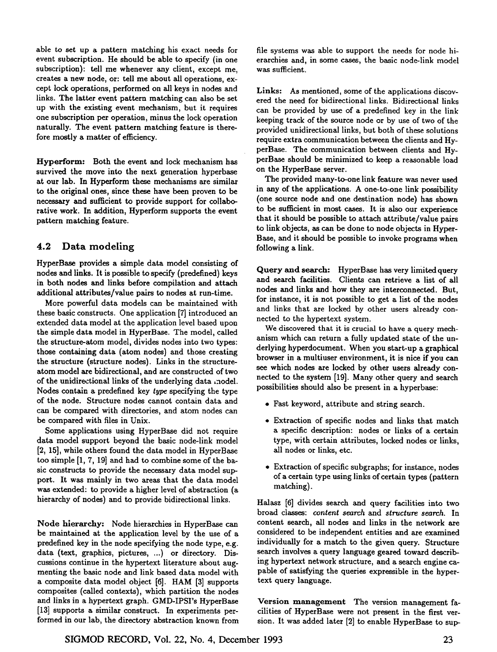able to set up a pattern matching his exact needs for event subscription. He should be able to specify (in one subscription): tell me whenever any client, except me, creates a new node, or: tell me about all operations, except lock operations, performed on all keys in nodes and links. The latter event pattern matching can also be set up with the existing event mechanism, but it requires one subscription per operation, minus the lock operation naturally. The event pattern matching feature is therefore mostly a matter of efficiency.

Hyperform: Both the event and lock mechanism has survived the move into the next generation hyperbase at our lab. In Hyperform these mechanisms are similar to the original ones, since these have been proven to be necessary and sufficient to provide support for collaborative work. In addition, Hyperform supports the event pattern matching feature.

### **4.2** Data modeling

HyperBase provides a simple data model consisting of nodes and links. It is possible to specify (predefined) keys in both nodes and links before compilation and attach additional attributes/value pairs to nodes at run-time.

More powerful data models can be maintained with these basic constructs. One application [7] introduced an extended data model at the application level based upon the simple data model in HyperBase. The model, called the structure-atom model, divides nodes into two types: those containing data (atom nodes) and those creating the structure (structure nodes). Links in the structureatom model are bidirectional, and are constructed of two of the unidirectional links of the underlying data ,nodel. Nodes contain a predefined key *type* specifying the type of the node. Structure nodes cannot contain data and can be compared with directories, and atom nodes can be compared with files in Unix.

Some applications using HyperBase did not require data model support beyond the basic node-link model [2, 15], while others found the data model in HyperBase too simple [1, 7, 19] and had to combine some of the basic constructs to provide the necessary data model support. It was mainly in two areas that the data model was extended: to provide a higher level of abstraction (a hierarchy of nodes) and to provide bidirectional links.

Node hierarchy: Node hierarchies in HyperBase can be maintained at the application level by the use of a predefined key in the node specifying the node type, e.g. data (text, graphics, pictures, ...) or directory. Discussions continue in the hypertext literature about augmenting the basic node and link based data model with a composite data model object [6]. HAM [3] supports composites (called contexts), which partition the nodes and links in a hypertext graph. GMD-IPSI's HyperBase [13] supports a similar construct. In experiments performed in our lab, the directory abstraction known from file systems was able to support the needs for node hierarchies and, in some cases, the basic node-link model was sufficient.

Links: As mentioned, some of the applications discovered the need for bidirectional links. Bidirectional links can be provided by use of a predefined key in the link keeping track of the source node or by use of two of the provided unidirectional links, but both of these solutions require extra communication between the clients and HyperBase. The communication between clients and HyperBase should be minimized to keep a reasonable load on the HyperBase server.

The provided many-to-one link feature was never used in any of the applications. A one-to-one link possibility (one source node and one destination node) has shown to be sufficient in most cases. It is also our experience that it should be possible to attach attribute/value pairs to link objects, as can be done to node objects in Hyper-Base, and it should be possible to invoke programs when following a link.

Query and search: HyperBase has very limited query and search facilities. Clients can retrieve a list of all nodes and links and how they are interconnected. But, for instance, it is not possible to get a list of the nodes and links that are locked by other users already connected to the hypertext system.

We discovered that it is crucial to have a query mechanism which can return a fully updated state of the underlying hyperdocument. When you start-up a graphical browser in a multiuser environment, it is nice if you can see which nodes are locked by other users already connected to the system [19]. Many other query and search possibilities should also be present in a hyperbase:

- Fast keyword, attribute and string search.
- Extraction of specific nodes and links that match a specific description: nodes or links of a certain type, with certain attributes, locked nodes or links, all nodes or links, etc.
- Extraction of specific subgraphs; for instance, nodes of a certain type using links of certain types (pattern matching).

Halasz [6] divides search and query facilities into two broad classes: *content search* and *structure search.* In content search, all nodes and links in the network are considered to be independent entities and are examined individually for a match to the given query. Structure search involves a query language geared toward describing hypertext network structure, and a search engine capable of satisfying the queries expressible in the hypertext query language.

Version management The version management facilities of HyperBase were not present in the first version. It was added later [2] to enable HyperBase to sup-

SIGMOD RECORD, Vol. 22, No. 4, December 1993 23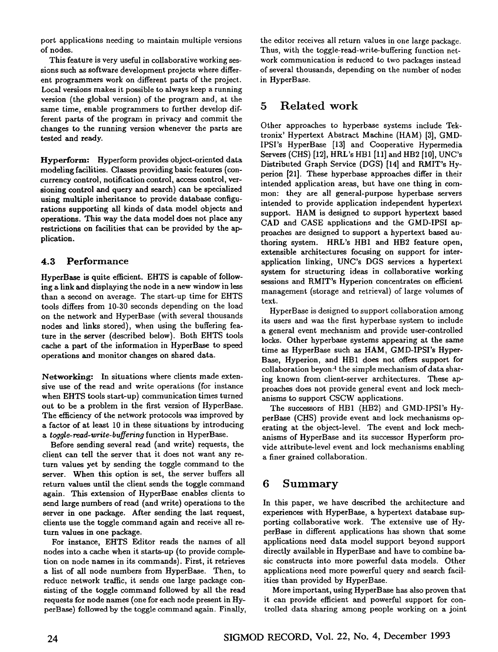port applications needing to maintain multiple versions of nodes.

This feature is very useful in collaborative working sessions such as software development projects where different programmers work on different parts of the project. Local versions makes it possible to always keep a running version (the global version) of the program and, at the same time, enable programmers to further develop different parts of the program in privacy and commit the changes to the running version whenever the parts are tested and ready.

Hyperform: Hyperform provides object-oriented data modeling facilities. Classes providing basic features (concurrency control, notification control, access control, versioning control and query and search) can be specialized using multiple inheritance to provide database configurations supporting all kinds of data model objects and operations. This way the data model does not place any restrictions on facilities that can be provided by the application.

### 4.3 Performance

HyperBase is quite efficient. EHTS is capable of following a link and displaying the node in a new window in less than a second on average. The start-up time for EHTS tools differs from 10-30 seconds depending on the load on the network and HyperBase (with several thousands nodes and links stored), when using the buffering feature in the server (described below). Both EHTS tools cache a part of the information in HyperBase to speed operations and monitor changes on shared data.

Networking: In situations where clients made extensive use of the read and write operations (for instance when EHTS tools start-up) communication times turned out to be a problem in the first version of HyperBase. The efficiency of the network protocols was improved by a factor of at least 10 in these situations by introducing *a toggle-read-write-buffering* function in HyperBase.

Before sending several read (and write) requests, the client can tell the server that it does not want any return values yet by sending the toggle command to the server. When this option is set, the server buffers all return values until the client sends the toggle command again. This extension of HyperBase enables clients to send large numbers of read (and write) operations to the server in one package. After sending the last request, clients use the toggle command again and receive all return values in one package.

For instance, EHTS Editor reads the names of all nodes into a cache when it starts-up (to provide completion on node names in its commands). First, it retrieves a list of all node numbers from HyperBase. Then, to reduce network traffic, it sends one large package consisting of the toggle command followed by all the read requests for node names (one for each node present in HyperBase) followed by the toggle command again. Finally,

the editor receives all return values in one large package. Thus, with the toggle-read-write-buffering function network communication is reduced to two packages instead of several thousands, depending on the number of nodes in HyperBase.

# 5 Related work

Other approaches to hyperbase systems include Tektronix' Hypertext Abstract Machine (HAM) [3], GMD-IPSI's HyperBase [13] and Cooperative Hypermedia Servers (CHS) [12], HRL's HB1 [11] and HB2 [10], UNC's Distributed Graph Service (DGS) [14] and RMIT's Hyperion [21]. These hyperbase approaches differ in their intended application areas, but have one thing in common: they are all general-purpose hyperbase servers intended to provide application independent hypertext support. HAM is designed to support hypertext based CAD and CASE applications and the GMD-IPSI approaches are designed to support a hypertext based authoring system. HRL's HB1 and HB2 feature open, extensible architectures focusing on support for interapplication linking, UNC's DGS services a hypertext **system** for structuring ideas in collaborative working sessions and RMIT's Hyperion concentrates on efficient management (storage and retrieval) of large volumes of text.

HyperBase is designed to support collaboration among its users and was the first hyperbase system to include a general event mechanism and provide user-controlled locks. Other hyperbase systems appearing at the same time as HyperBase such as HAM, GMD-IPSI's Hyper-Base, Hyperion, and HB1 does not offers support for collaboration beyond the simple mechanism of data sharing known from client-server architectures. These approaches does not provide general event and lock mechanisms to support CSCW applications.

The successors of HB1 (HB2) and GMD-IPSI's HyperBase (CHS) provide event and lock mechanisms operating at the object-level. The event and lock mechanisms of HyperBase and its successor Hyperform provide attribute-level event and lock mechanisms enabling a finer grained collaboration.

# **6 Summary**

In this paper, we have described the architecture and experiences with HyperBase, a hypertext database supporting collaborative work. The extensive use of HyperBase in different applications has shown that some applications need data model support beyond support directly available in HyperBase and have to combine basic constructs into more powerful data models. Other applications need more powerful query and search facilities than provided by HyperBase.

More important, using HyperBase has also proven that it can provide efficient and powerful support for controlled data sharing among people working on a joint